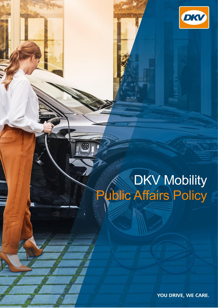

## DKV Mobility Public Affairs Policy

Introduction

YOU DRIVE, WE CARE.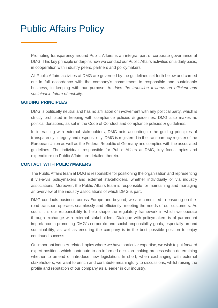## Public Affairs Policy

Promoting transparency around Public Affairs is an integral part of corporate governance at DMG. This key principle underpins how we conduct our Public Affairs activities on a daily basis, in cooperation with industry peers, partners and policymakers.

All Public Affairs activities at DMG are governed by the guidelines set forth below and carried out in full accordance with the company's commitment to responsible and sustainable business, in keeping with our purpose: *to drive the transition towards an efficient and sustainable future of mobility*.

## **GUIDING PRINCIPLES**

DMG is politically neutral and has no affiliation or involvement with any political party, which is strictly prohibited in keeping with compliance policies & guidelines. DMG also makes no political donations, as set in the Code of Conduct and compliance policies & guidelines.

In interacting with external stakeholders, DMG acts according to the guiding principles of transparency, integrity and responsibility. DMG is registered in the transparency register of the European Union as well as the Federal Republic of Germany and complies with the associated guidelines. The individuals responsible for Public Affairs at DMG, key focus topics and expenditure on Public Affairs are detailed therein.

## **CONTACT WITH POLICYMAKERS**

The Public Affairs team at DMG is responsible for positioning the organisation and representing it vis-à-vis policymakers and external stakeholders, whether individually or via industry associations. Moreover, the Public Affairs team is responsible for maintaining and managing an overview of the industry associations of which DMG is part.

DMG conducts business across Europe and beyond; we are committed to ensuring on-theroad transport operates seamlessly and efficiently, meeting the needs of our customers. As such, it is our responsibility to help shape the regulatory framework in which we operate through exchange with external stakeholders. Dialogue with policymakers is of paramount importance in promoting DMG's corporate and social responsibility goals, especially around sustainability, as well as ensuring the company is in the best possible position to enjoy continued success.

On important industry-related topics where we have particular expertise, we wish to put forward expert positions which contribute to an informed decision-making process when determining whether to amend or introduce new legislation. In short, when exchanging with external stakeholders, we want to enrich and contribute meaningfully to discussions, whilst raising the profile and reputation of our company as a leader in our industry.